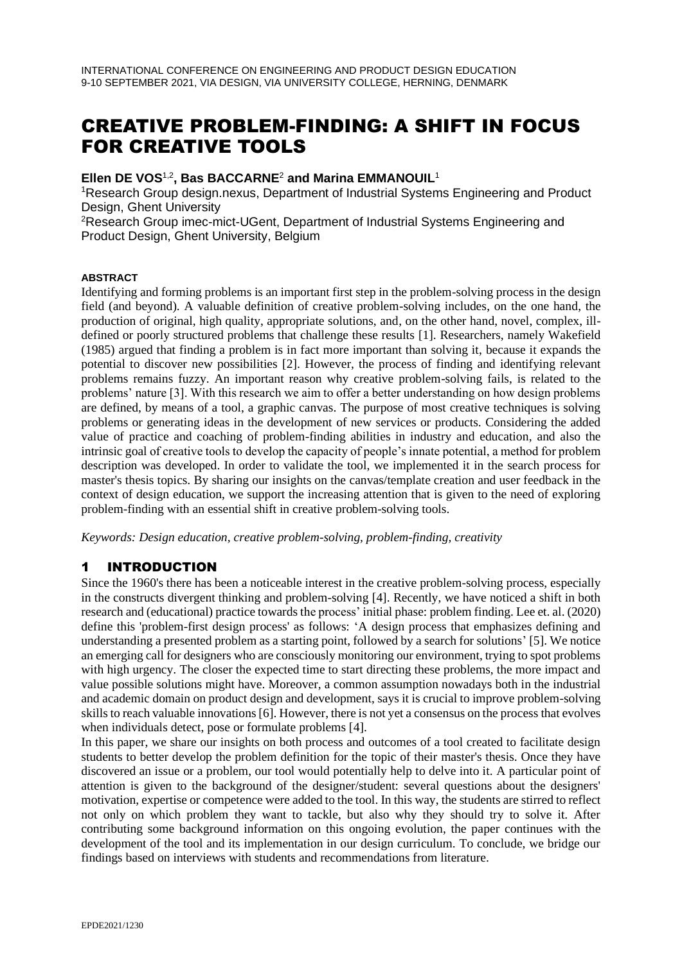# CREATIVE PROBLEM-FINDING: A SHIFT IN FOCUS FOR CREATIVE TOOLS

### **Ellen DE VOS**1,2**, Bas BACCARNE**<sup>2</sup> **and Marina EMMANOUIL**<sup>1</sup>

<sup>1</sup>Research Group design.nexus, Department of Industrial Systems Engineering and Product Design, Ghent University

<sup>2</sup>Research Group imec-mict-UGent, Department of Industrial Systems Engineering and Product Design, Ghent University, Belgium

#### **ABSTRACT**

Identifying and forming problems is an important first step in the problem-solving process in the design field (and beyond). A valuable definition of creative problem-solving includes, on the one hand, the production of original, high quality, appropriate solutions, and, on the other hand, novel, complex, illdefined or poorly structured problems that challenge these results [1]. Researchers, namely Wakefield (1985) argued that finding a problem is in fact more important than solving it, because it expands the potential to discover new possibilities [2]. However, the process of finding and identifying relevant problems remains fuzzy. An important reason why creative problem-solving fails, is related to the problems' nature [3]. With this research we aim to offer a better understanding on how design problems are defined, by means of a tool, a graphic canvas. The purpose of most creative techniques is solving problems or generating ideas in the development of new services or products. Considering the added value of practice and coaching of problem-finding abilities in industry and education, and also the intrinsic goal of creative tools to develop the capacity of people's innate potential, a method for problem description was developed. In order to validate the tool, we implemented it in the search process for master's thesis topics. By sharing our insights on the canvas/template creation and user feedback in the context of design education, we support the increasing attention that is given to the need of exploring problem-finding with an essential shift in creative problem-solving tools.

*Keywords: Design education, creative problem-solving, problem-finding, creativity*

## 1 INTRODUCTION

Since the 1960's there has been a noticeable interest in the creative problem-solving process, especially in the constructs divergent thinking and problem-solving [4]. Recently, we have noticed a shift in both research and (educational) practice towards the process' initial phase: problem finding. Lee et. al. (2020) define this 'problem-first design process' as follows: 'A design process that emphasizes defining and understanding a presented problem as a starting point, followed by a search for solutions' [5]. We notice an emerging call for designers who are consciously monitoring our environment, trying to spot problems with high urgency. The closer the expected time to start directing these problems, the more impact and value possible solutions might have. Moreover, a common assumption nowadays both in the industrial and academic domain on product design and development, says it is crucial to improve problem-solving skills to reach valuable innovations [6]. However, there is not yet a consensus on the process that evolves when individuals detect, pose or formulate problems [4].

In this paper, we share our insights on both process and outcomes of a tool created to facilitate design students to better develop the problem definition for the topic of their master's thesis. Once they have discovered an issue or a problem, our tool would potentially help to delve into it. A particular point of attention is given to the background of the designer/student: several questions about the designers' motivation, expertise or competence were added to the tool. In this way, the students are stirred to reflect not only on which problem they want to tackle, but also why they should try to solve it. After contributing some background information on this ongoing evolution, the paper continues with the development of the tool and its implementation in our design curriculum. To conclude, we bridge our findings based on interviews with students and recommendations from literature.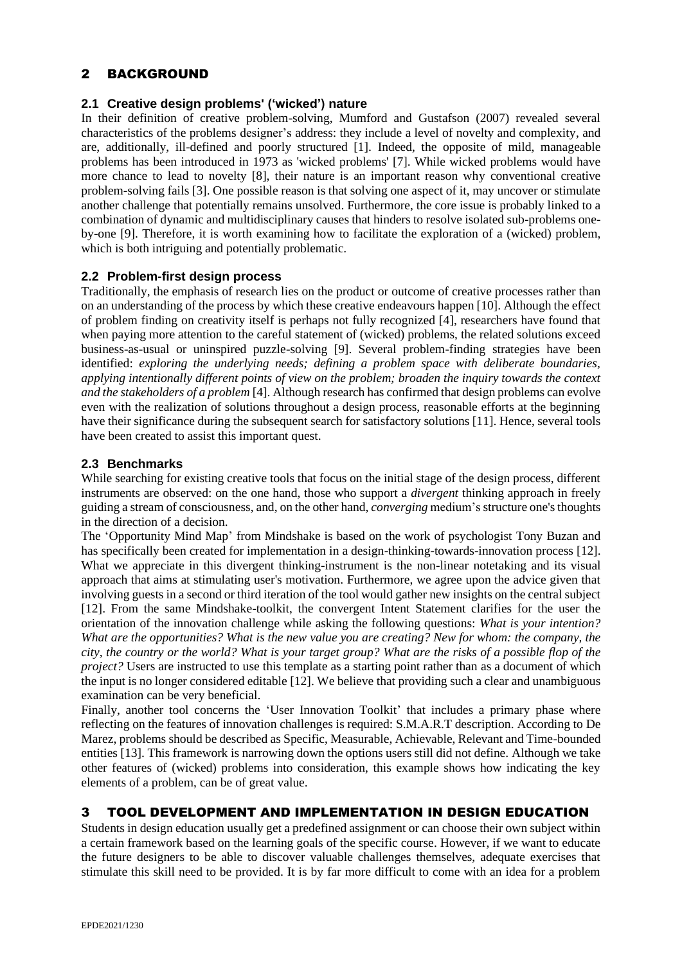## 2 BACKGROUND

#### **2.1 Creative design problems' ('wicked') nature**

In their definition of creative problem-solving, Mumford and Gustafson (2007) revealed several characteristics of the problems designer's address: they include a level of novelty and complexity, and are, additionally, ill-defined and poorly structured [1]. Indeed, the opposite of mild, manageable problems has been introduced in 1973 as 'wicked problems' [7]. While wicked problems would have more chance to lead to novelty [8], their nature is an important reason why conventional creative problem-solving fails [3]. One possible reason is that solving one aspect of it, may uncover or stimulate another challenge that potentially remains unsolved. Furthermore, the core issue is probably linked to a combination of dynamic and multidisciplinary causes that hinders to resolve isolated sub-problems oneby-one [9]. Therefore, it is worth examining how to facilitate the exploration of a (wicked) problem, which is both intriguing and potentially problematic.

#### **2.2 Problem-first design process**

Traditionally, the emphasis of research lies on the product or outcome of creative processes rather than on an understanding of the process by which these creative endeavours happen [10]. Although the effect of problem finding on creativity itself is perhaps not fully recognized [4], researchers have found that when paying more attention to the careful statement of (wicked) problems, the related solutions exceed business-as-usual or uninspired puzzle-solving [9]. Several problem-finding strategies have been identified: *exploring the underlying needs; defining a problem space with deliberate boundaries, applying intentionally different points of view on the problem; broaden the inquiry towards the context and the stakeholders of a problem* [4]. Although research has confirmed that design problems can evolve even with the realization of solutions throughout a design process, reasonable efforts at the beginning have their significance during the subsequent search for satisfactory solutions [11]. Hence, several tools have been created to assist this important quest.

### **2.3 Benchmarks**

While searching for existing creative tools that focus on the initial stage of the design process, different instruments are observed: on the one hand, those who support a *divergent* thinking approach in freely guiding a stream of consciousness, and, on the other hand, *converging* medium'sstructure one's thoughts in the direction of a decision.

The 'Opportunity Mind Map' from Mindshake is based on the work of psychologist Tony Buzan and has specifically been created for implementation in a design-thinking-towards-innovation process [12]. What we appreciate in this divergent thinking-instrument is the non-linear notetaking and its visual approach that aims at stimulating user's motivation. Furthermore, we agree upon the advice given that involving guests in a second or third iteration of the tool would gather new insights on the central subject [12]. From the same Mindshake-toolkit, the convergent Intent Statement clarifies for the user the orientation of the innovation challenge while asking the following questions: *What is your intention? What are the opportunities? What is the new value you are creating? New for whom: the company, the city, the country or the world? What is your target group? What are the risks of a possible flop of the project?* Users are instructed to use this template as a starting point rather than as a document of which the input is no longer considered editable [12]. We believe that providing such a clear and unambiguous examination can be very beneficial.

Finally, another tool concerns the 'User Innovation Toolkit' that includes a primary phase where reflecting on the features of innovation challenges is required: S.M.A.R.T description. According to De Marez, problems should be described as Specific, Measurable, Achievable, Relevant and Time-bounded entities [13]. This framework is narrowing down the options users still did not define. Although we take other features of (wicked) problems into consideration, this example shows how indicating the key elements of a problem, can be of great value.

## 3 TOOL DEVELOPMENT AND IMPLEMENTATION IN DESIGN EDUCATION

Students in design education usually get a predefined assignment or can choose their own subject within a certain framework based on the learning goals of the specific course. However, if we want to educate the future designers to be able to discover valuable challenges themselves, adequate exercises that stimulate this skill need to be provided. It is by far more difficult to come with an idea for a problem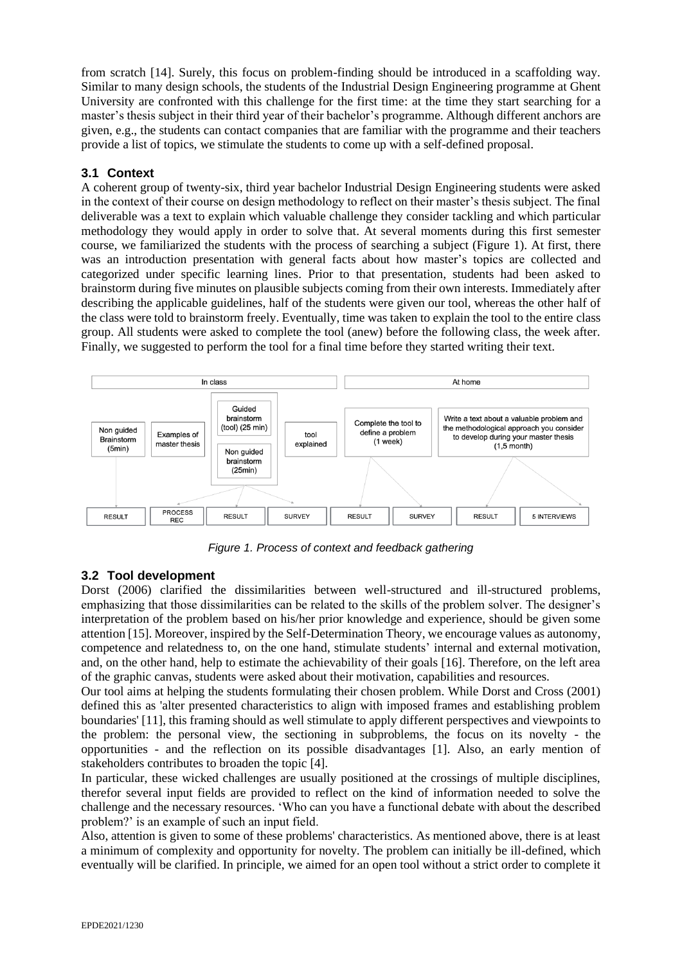from scratch [14]. Surely, this focus on problem-finding should be introduced in a scaffolding way. Similar to many design schools, the students of the Industrial Design Engineering programme at Ghent University are confronted with this challenge for the first time: at the time they start searching for a master's thesis subject in their third year of their bachelor's programme. Although different anchors are given, e.g., the students can contact companies that are familiar with the programme and their teachers provide a list of topics, we stimulate the students to come up with a self-defined proposal.

## **3.1 Context**

A coherent group of twenty-six, third year bachelor Industrial Design Engineering students were asked in the context of their course on design methodology to reflect on their master's thesis subject. The final deliverable was a text to explain which valuable challenge they consider tackling and which particular methodology they would apply in order to solve that. At several moments during this first semester course, we familiarized the students with the process of searching a subject (Figure 1). At first, there was an introduction presentation with general facts about how master's topics are collected and categorized under specific learning lines. Prior to that presentation, students had been asked to brainstorm during five minutes on plausible subjects coming from their own interests. Immediately after describing the applicable guidelines, half of the students were given our tool, whereas the other half of the class were told to brainstorm freely. Eventually, time was taken to explain the tool to the entire class group. All students were asked to complete the tool (anew) before the following class, the week after. Finally, we suggested to perform the tool for a final time before they started writing their text.



*Figure 1. Process of context and feedback gathering*

## **3.2 Tool development**

Dorst (2006) clarified the dissimilarities between well-structured and ill-structured problems, emphasizing that those dissimilarities can be related to the skills of the problem solver. The designer's interpretation of the problem based on his/her prior knowledge and experience, should be given some attention [15]. Moreover, inspired by the Self-Determination Theory, we encourage values as autonomy, competence and relatedness to, on the one hand, stimulate students' internal and external motivation, and, on the other hand, help to estimate the achievability of their goals [16]. Therefore, on the left area of the graphic canvas, students were asked about their motivation, capabilities and resources.

Our tool aims at helping the students formulating their chosen problem. While Dorst and Cross (2001) defined this as 'alter presented characteristics to align with imposed frames and establishing problem boundaries' [11], this framing should as well stimulate to apply different perspectives and viewpoints to the problem: the personal view, the sectioning in subproblems, the focus on its novelty - the opportunities - and the reflection on its possible disadvantages [1]. Also, an early mention of stakeholders contributes to broaden the topic [4].

In particular, these wicked challenges are usually positioned at the crossings of multiple disciplines, therefor several input fields are provided to reflect on the kind of information needed to solve the challenge and the necessary resources. 'Who can you have a functional debate with about the described problem?' is an example of such an input field.

Also, attention is given to some of these problems' characteristics. As mentioned above, there is at least a minimum of complexity and opportunity for novelty. The problem can initially be ill-defined, which eventually will be clarified. In principle, we aimed for an open tool without a strict order to complete it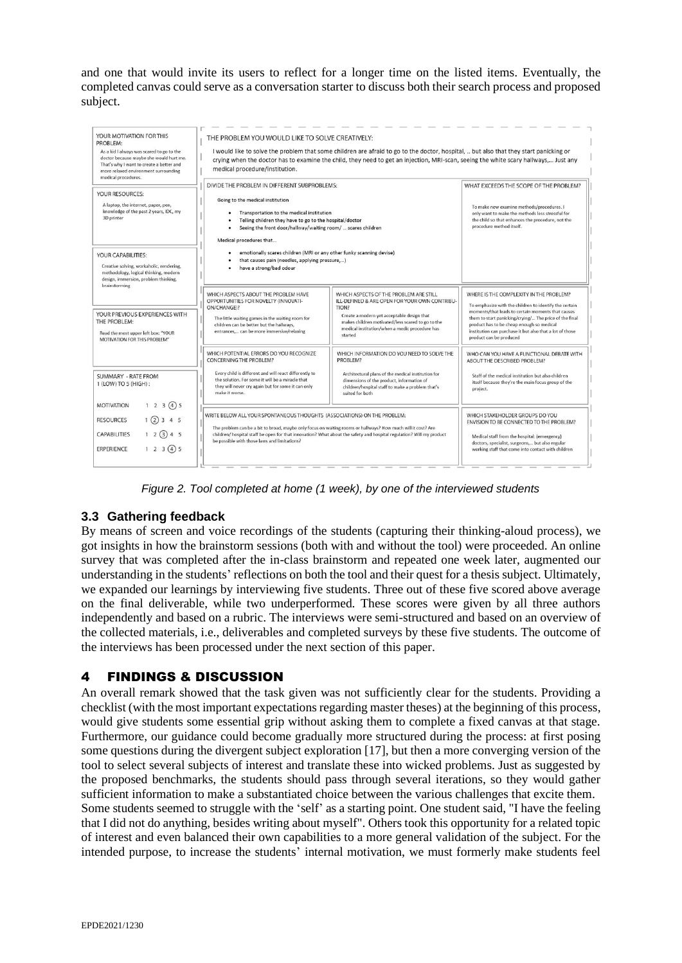and one that would invite its users to reflect for a longer time on the listed items. Eventually, the completed canvas could serve as a conversation starter to discuss both their search process and proposed subject.

| YOUR MOTIVATION FOR THIS<br>PROBLEM:<br>As a kid I always was scared to go to the<br>doctor because maybe she would hurt me.<br>That's why I want to create a better and<br>more relaxed environment surrounding<br>medical procedures. | THE PROBLEM YOU WOULD LIKE TO SOLVE CREATIVELY:<br>I would like to solve the problem that some children are afraid to go to the doctor, hospital,  but also that they start panicking or<br>crying when the doctor has to examine the child, they need to get an injection, MRI-scan, seeing the white scary hallways, Just any<br>medical procedure/institution. |                                                                                                                                                                                                                                                                  |                                                                                                                                                                                                                                                                                                                                                      |
|-----------------------------------------------------------------------------------------------------------------------------------------------------------------------------------------------------------------------------------------|-------------------------------------------------------------------------------------------------------------------------------------------------------------------------------------------------------------------------------------------------------------------------------------------------------------------------------------------------------------------|------------------------------------------------------------------------------------------------------------------------------------------------------------------------------------------------------------------------------------------------------------------|------------------------------------------------------------------------------------------------------------------------------------------------------------------------------------------------------------------------------------------------------------------------------------------------------------------------------------------------------|
| YOUR RESOURCES:<br>A laptop, the internet, paper, pen,<br>knowledge of the past 2 years, IDC, my<br>3D printer                                                                                                                          | DIVIDE THE PROBLEM IN DIFFERENT SUBPROBLEMS:<br>Going to the medical institution<br>Transportation to the medical institution<br>Telling children they have to go to the hospital/doctor<br>Seeing the front door/hallway/waiting room/  scares children<br>Medical procedures that                                                                               |                                                                                                                                                                                                                                                                  | WHAT EXCEEDS THE SCOPE OF THE PROBLEM?<br>To make new examine methods/procedures. I<br>only want to make the methods less stressful for<br>the child so that enhances the procedure, not the<br>procedure method itself.                                                                                                                             |
| YOUR CAPABILITIES:<br>Creative solving, workaholic, rendering,<br>methodology, logical thinking, modern<br>design, immersion, problem thinking,<br>brainstorming                                                                        | emotionally scares children (MRI or any other funky scanning devise)<br>that causes pain (needles, applying pressure,)<br>have a strong/bad odour                                                                                                                                                                                                                 |                                                                                                                                                                                                                                                                  |                                                                                                                                                                                                                                                                                                                                                      |
| YOUR PREVIOUS EXPERIENCES WITH<br>THE PROBLEM:<br>Read the most upper left box: "YOUR<br>MOTIVATION FOR THIS PROBLEM"                                                                                                                   | WHICH ASPECTS ABOUT THE PROBLEM HAVE<br>OPPORTUNITIES FOR NOVELTY (INNOVATI-<br>ON/CHANGE)?<br>The little waiting games in the waiting room for<br>children can be better but the hallways,<br>entrances, can be more immersive/relaxing                                                                                                                          | WHICH ASPECTS OF THE PROBLEM ARE STILL<br>ILL-DEFINED & ARE OPEN FOR YOUR OWN CONTRIBU-<br>TION?<br>Create a modern yet acceptable design that<br>makes children motivated/less scared to go to the<br>medical institution/when a medic procedure has<br>started | WHERE IS THE COMPLEXITY IN THE PROBLEM?<br>To emphasize with the children to identify the certain<br>moments/that leads to certain moments that causes<br>them to start panicking/crying/ The price of the final<br>product has to be cheap enough so medical<br>institution can purchase it but also that a lot of those<br>product can be produced |
| SUMMARY - RATE FROM<br>1 (LOW) TO 5 (HIGH):                                                                                                                                                                                             | WHICH POTENTIAL ERRORS DO YOU RECOGNIZE<br><b>CONCERNING THE PROBLEM?</b><br>Every child is different and will react differently to<br>the solution. For some it will be a miracle that<br>they will never cry again but for some it can only<br>make it worse.                                                                                                   | WHICH INFORMATION DO YOU NEED TO SOLVE THE<br>PROBLEM?<br>Architectural plans of the medical institution for<br>dimensions of the product, information of<br>children/hospital staff to make a problem that's<br>suited for both                                 | WHO CAN YOU HAVE A FUNCTIONAL DEBATE WITH<br>ABOUT THE DESCRIBED PROBLEM?<br>Staff of the medical institution but also children<br>itself because they're the main focus group of the<br>project.                                                                                                                                                    |
| 1 2 3 45<br><b>MOTIVATION</b><br>$1$ (2) 3 4 5<br><b>RESOURCES</b><br>$12$ (3) 4 5<br><b>CAPABILITIES</b><br>1 2 3 45<br><b>ERPERIENCE</b>                                                                                              | WRITE BELOW ALL YOUR SPONTANEOUS THOUGHTS (ASSOCIATIONS) ON THE PROBLEM:<br>The problem can be a bit to broad, maybe only focus on waiting rooms or hallways? How much will it cost? Are<br>children/ hospital staff be open for that innovation? What about the safety and hospital regulation? Will my product<br>be possible with those laws and limitations?  |                                                                                                                                                                                                                                                                  | WHICH STAKEHOLDER GROUPS DO YOU<br>ENVISION TO BE CONNECTED TO THE PROBLEM?<br>Medical staff from the hospital: (emergency)<br>doctors, specialist, surgeons, but also regular<br>working staff that come into contact with children                                                                                                                 |

*Figure 2. Tool completed at home (1 week), by one of the interviewed students*

## **3.3 Gathering feedback**

By means of screen and voice recordings of the students (capturing their thinking-aloud process), we got insights in how the brainstorm sessions (both with and without the tool) were proceeded. An online survey that was completed after the in-class brainstorm and repeated one week later, augmented our understanding in the students' reflections on both the tool and their quest for a thesis subject. Ultimately, we expanded our learnings by interviewing five students. Three out of these five scored above average on the final deliverable, while two underperformed. These scores were given by all three authors independently and based on a rubric. The interviews were semi-structured and based on an overview of the collected materials, i.e., deliverables and completed surveys by these five students. The outcome of the interviews has been processed under the next section of this paper.

## 4 FINDINGS & DISCUSSION

An overall remark showed that the task given was not sufficiently clear for the students. Providing a checklist (with the most important expectations regarding master theses) at the beginning of this process, would give students some essential grip without asking them to complete a fixed canvas at that stage. Furthermore, our guidance could become gradually more structured during the process: at first posing some questions during the divergent subject exploration [17], but then a more converging version of the tool to select several subjects of interest and translate these into wicked problems. Just as suggested by the proposed benchmarks, the students should pass through several iterations, so they would gather sufficient information to make a substantiated choice between the various challenges that excite them. Some students seemed to struggle with the 'self' as a starting point. One student said, "I have the feeling that I did not do anything, besides writing about myself". Others took this opportunity for a related topic of interest and even balanced their own capabilities to a more general validation of the subject. For the intended purpose, to increase the students' internal motivation, we must formerly make students feel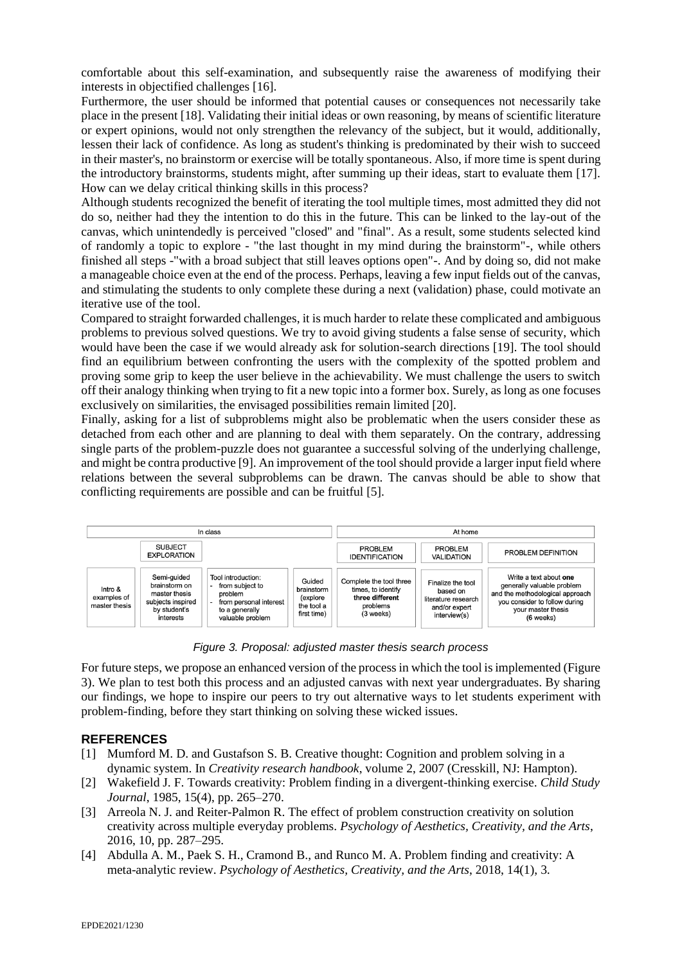comfortable about this self-examination, and subsequently raise the awareness of modifying their interests in objectified challenges [16].

Furthermore, the user should be informed that potential causes or consequences not necessarily take place in the present [18]. Validating their initial ideas or own reasoning, by means of scientific literature or expert opinions, would not only strengthen the relevancy of the subject, but it would, additionally, lessen their lack of confidence. As long as student's thinking is predominated by their wish to succeed in their master's, no brainstorm or exercise will be totally spontaneous. Also, if more time is spent during the introductory brainstorms, students might, after summing up their ideas, start to evaluate them [17]. How can we delay critical thinking skills in this process?

Although students recognized the benefit of iterating the tool multiple times, most admitted they did not do so, neither had they the intention to do this in the future. This can be linked to the lay-out of the canvas, which unintendedly is perceived "closed" and "final". As a result, some students selected kind of randomly a topic to explore - "the last thought in my mind during the brainstorm"-, while others finished all steps -"with a broad subject that still leaves options open"-. And by doing so, did not make a manageable choice even at the end of the process. Perhaps, leaving a few input fields out of the canvas, and stimulating the students to only complete these during a next (validation) phase, could motivate an iterative use of the tool.

Compared to straight forwarded challenges, it is much harder to relate these complicated and ambiguous problems to previous solved questions. We try to avoid giving students a false sense of security, which would have been the case if we would already ask for solution-search directions [19]. The tool should find an equilibrium between confronting the users with the complexity of the spotted problem and proving some grip to keep the user believe in the achievability. We must challenge the users to switch off their analogy thinking when trying to fit a new topic into a former box. Surely, as long as one focuses exclusively on similarities, the envisaged possibilities remain limited [20].

Finally, asking for a list of subproblems might also be problematic when the users consider these as detached from each other and are planning to deal with them separately. On the contrary, addressing single parts of the problem-puzzle does not guarantee a successful solving of the underlying challenge, and might be contra productive [9]. An improvement of the tool should provide a larger input field where relations between the several subproblems can be drawn. The canvas should be able to show that conflicting requirements are possible and can be fruitful [5].



*Figure 3. Proposal: adjusted master thesis search process*

For future steps, we propose an enhanced version of the process in which the tool is implemented (Figure 3). We plan to test both this process and an adjusted canvas with next year undergraduates. By sharing our findings, we hope to inspire our peers to try out alternative ways to let students experiment with problem-finding, before they start thinking on solving these wicked issues.

### **REFERENCES**

- [1] Mumford M. D. and Gustafson S. B. Creative thought: Cognition and problem solving in a dynamic system. In *Creativity research handbook*, volume 2, 2007 (Cresskill, NJ: Hampton).
- [2] Wakefield J. F. Towards creativity: Problem finding in a divergent-thinking exercise. *Child Study Journal*, 1985, 15(4), pp. 265–270.
- [3] Arreola N. J. and Reiter-Palmon R. The effect of problem construction creativity on solution creativity across multiple everyday problems. *Psychology of Aesthetics, Creativity, and the Arts*, 2016, 10, pp. 287–295.
- [4] Abdulla A. M., Paek S. H., Cramond B., and Runco M. A. Problem finding and creativity: A meta-analytic review. *Psychology of Aesthetics, Creativity, and the Arts*, 2018, 14(1), 3.